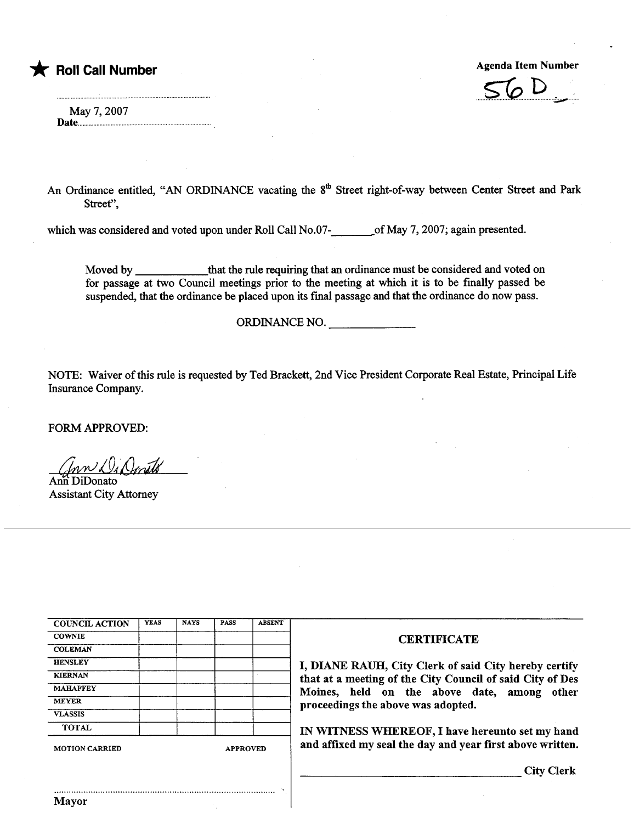## \* Roll Call Number Agenda Item Number Agenda Item Number



May 7, 2007 Date..................................................................................

An Ordinance entitled, "AN ORDINANCE vacating the 8<sup>th</sup> Street right-of-way between Center Street and Park Street",

which was considered and voted upon under Roll Call No.07- of May 7, 2007; again presented.

Moved by that the rule requiring that an ordinance must be considered and voted on for passage at two Council meetings prior to the meeting at which it is to be finally passed be suspended, that the ordinance be placed upon its final passage and that the ordinance do now pass.

ORDINANCE NO.

NOTE: Waiver of this rule is requested by Ted Brackett, 2nd Vice President Corporate Real Estate, Principal Life Insurance Company.

FORM APPROVED:

ann Di Omets

Ann DiDonato **Assistant City Attorney** 

| <b>COUNCIL ACTION</b> | <b>YEAS</b> | <b>NAYS</b> | <b>PASS</b>     | <b>ABSENT</b> |  |
|-----------------------|-------------|-------------|-----------------|---------------|--|
| <b>COWNIE</b>         |             |             |                 |               |  |
| <b>COLEMAN</b>        |             |             |                 |               |  |
| <b>HENSLEY</b>        |             |             |                 |               |  |
| <b>KIERNAN</b>        |             |             |                 |               |  |
| <b>MAHAFFEY</b>       |             |             |                 |               |  |
| <b>MEYER</b>          |             |             |                 |               |  |
| <b>VLASSIS</b>        |             |             |                 |               |  |
| <b>TOTAL</b>          |             |             |                 |               |  |
| <b>MOTION CARRIED</b> |             |             | <b>APPROVED</b> |               |  |

..........................................................................................

Mayor

## **CERTIFICATE**

I, DIANE RAUH, City Clerk of said City hereby certify that at a meeting of the City Council of said City of Des Moines, held on the above date, among other proceedings the above was adopted.

IN WITNESS WHEREOF, I have hereunto set my hand and affixed my seal the day and year first above written.

City Clerk